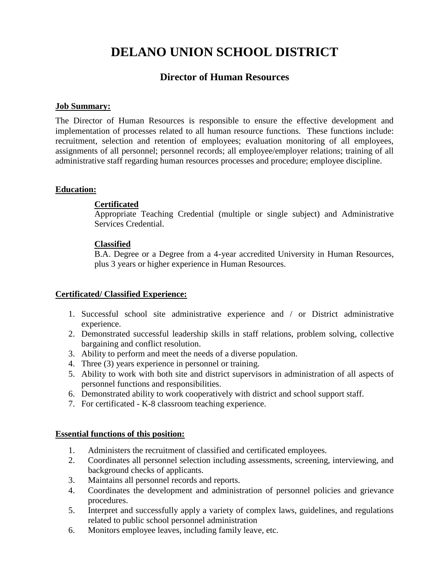# **DELANO UNION SCHOOL DISTRICT**

## **Director of Human Resources**

#### **Job Summary:**

The Director of Human Resources is responsible to ensure the effective development and implementation of processes related to all human resource functions. These functions include: recruitment, selection and retention of employees; evaluation monitoring of all employees, assignments of all personnel; personnel records; all employee/employer relations; training of all administrative staff regarding human resources processes and procedure; employee discipline.

#### **Education:**

#### **Certificated**

Appropriate Teaching Credential (multiple or single subject) and Administrative Services Credential.

#### **Classified**

B.A. Degree or a Degree from a 4-year accredited University in Human Resources, plus 3 years or higher experience in Human Resources.

#### **Certificated/ Classified Experience:**

- 1. Successful school site administrative experience and / or District administrative experience.
- 2. Demonstrated successful leadership skills in staff relations, problem solving, collective bargaining and conflict resolution.
- 3. Ability to perform and meet the needs of a diverse population.
- 4. Three (3) years experience in personnel or training.
- 5. Ability to work with both site and district supervisors in administration of all aspects of personnel functions and responsibilities.
- 6. Demonstrated ability to work cooperatively with district and school support staff.
- 7. For certificated K-8 classroom teaching experience.

#### **Essential functions of this position:**

- 1. Administers the recruitment of classified and certificated employees.
- 2. Coordinates all personnel selection including assessments, screening, interviewing, and background checks of applicants.
- 3. Maintains all personnel records and reports.
- 4. Coordinates the development and administration of personnel policies and grievance procedures.
- 5. Interpret and successfully apply a variety of complex laws, guidelines, and regulations related to public school personnel administration
- 6. Monitors employee leaves, including family leave, etc.